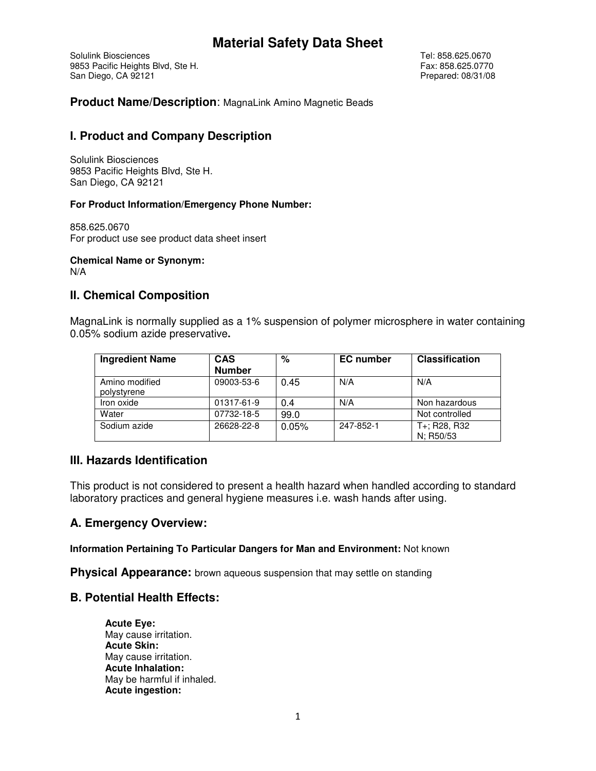Solulink Biosciences Tel: 858.625.0670 9853 Pacific Heights Blvd, Ste H. Steeds and Steeds and Steeds and Steeds and Steeds and Diego, CA 92121 San Diego, CA 92121

**Product Name/Description**: MagnaLink Amino Magnetic Beads

# **I. Product and Company Description**

Solulink Biosciences 9853 Pacific Heights Blvd, Ste H. San Diego, CA 92121

### **For Product Information/Emergency Phone Number:**

858.625.0670 For product use see product data sheet insert

**Chemical Name or Synonym:** 

N/A

# **II. Chemical Composition**

MagnaLink is normally supplied as a 1% suspension of polymer microsphere in water containing 0.05% sodium azide preservative**.** 

| <b>Ingredient Name</b>        | <b>CAS</b><br><b>Number</b> | $\%$  | <b>EC</b> number | <b>Classification</b>                                           |
|-------------------------------|-----------------------------|-------|------------------|-----------------------------------------------------------------|
| Amino modified<br>polystyrene | 09003-53-6                  | 0.45  | N/A              | N/A                                                             |
| Iron oxide                    | 01317-61-9                  | 0.4   | N/A              | Non hazardous                                                   |
| Water                         | 07732-18-5                  | 99.0  |                  | Not controlled                                                  |
| Sodium azide                  | 26628-22-8                  | 0.05% | 247-852-1        | T <sub>+</sub> ; R <sub>28</sub> , R <sub>32</sub><br>N: R50/53 |

# **III. Hazards Identification**

This product is not considered to present a health hazard when handled according to standard laboratory practices and general hygiene measures i.e. wash hands after using.

# **A. Emergency Overview:**

**Information Pertaining To Particular Dangers for Man and Environment:** Not known

**Physical Appearance:** brown aqueous suspension that may settle on standing

# **B. Potential Health Effects:**

**Acute Eye:**  May cause irritation. **Acute Skin:**  May cause irritation. **Acute Inhalation:**  May be harmful if inhaled. **Acute ingestion:**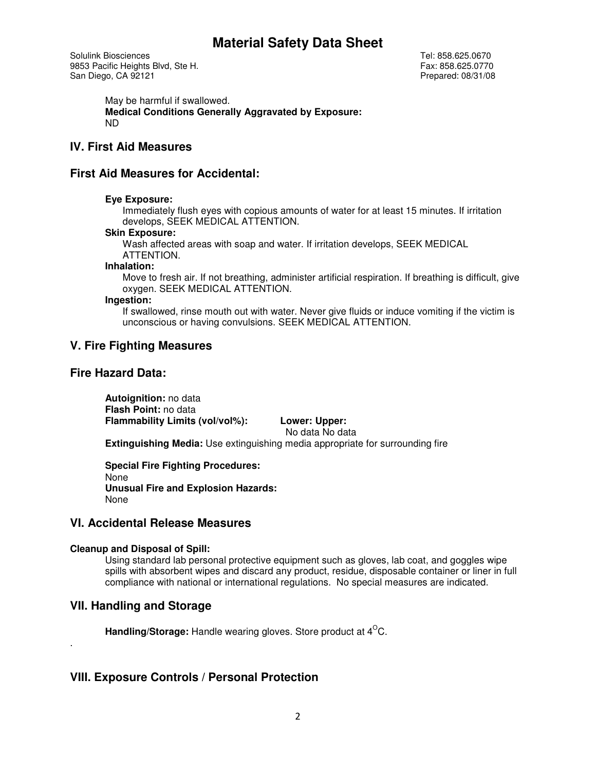Solulink Biosciences Tel: 858.625.0670 9853 Pacific Heights Blvd, Ste H. Steeds and Steeds and Steeds and Steeds and Steeds and Diego, CA 92121 San Diego, CA 92121

May be harmful if swallowed. **Medical Conditions Generally Aggravated by Exposure:**  ND

# **IV. First Aid Measures**

## **First Aid Measures for Accidental:**

#### **Eye Exposure:**

Immediately flush eyes with copious amounts of water for at least 15 minutes. If irritation develops, SEEK MEDICAL ATTENTION.

#### **Skin Exposure:**

Wash affected areas with soap and water. If irritation develops, SEEK MEDICAL ATTENTION.

#### **Inhalation:**

Move to fresh air. If not breathing, administer artificial respiration. If breathing is difficult, give oxygen. SEEK MEDICAL ATTENTION.

#### **Ingestion:**

If swallowed, rinse mouth out with water. Never give fluids or induce vomiting if the victim is unconscious or having convulsions. SEEK MEDICAL ATTENTION.

## **V. Fire Fighting Measures**

### **Fire Hazard Data:**

**Autoignition:** no data **Flash Point:** no data **Flammability Limits (vol/vol%): Lower: Upper:** 

No data No data

**Extinguishing Media:** Use extinguishing media appropriate for surrounding fire

**Special Fire Fighting Procedures:**  None **Unusual Fire and Explosion Hazards:**  None

### **VI. Accidental Release Measures**

#### **Cleanup and Disposal of Spill:**

Using standard lab personal protective equipment such as gloves, lab coat, and goggles wipe spills with absorbent wipes and discard any product, residue, disposable container or liner in full compliance with national or international regulations. No special measures are indicated.

### **VII. Handling and Storage**

.

**Handling/Storage:** Handle wearing gloves. Store product at 4<sup>o</sup>C.

# **VIII. Exposure Controls / Personal Protection**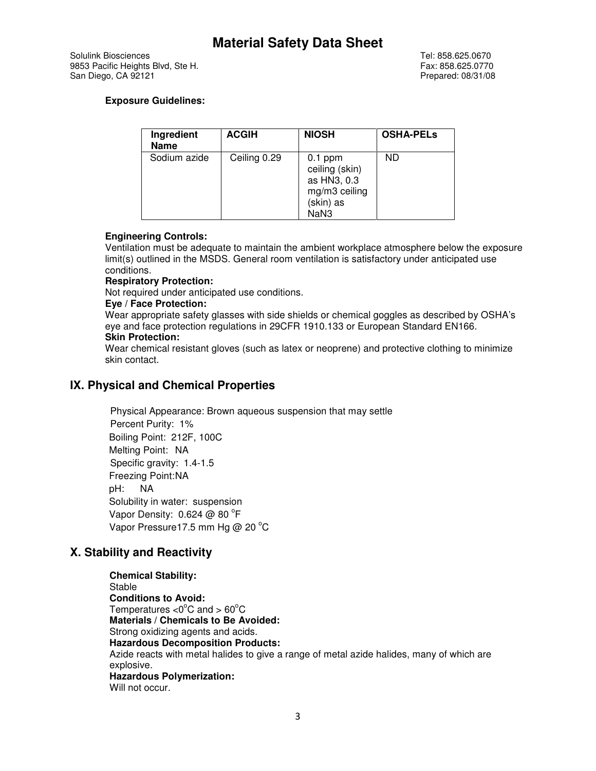Solulink Biosciences Tel: 858.625.0670 9853 Pacific Heights Blvd, Ste H. Steeds and Steeds and Steeds and Steeds and Steeds and Diego, CA 92121 San Diego, CA 92121

### **Exposure Guidelines:**

| Ingredient<br><b>Name</b> | <b>ACGIH</b> | <b>NIOSH</b>                                                                     | <b>OSHA-PELS</b> |
|---------------------------|--------------|----------------------------------------------------------------------------------|------------------|
| Sodium azide              | Ceiling 0.29 | $0.1$ ppm<br>ceiling (skin)<br>as HN3, 0.3<br>mg/m3 ceiling<br>(skin) as<br>NaN3 | ND               |

### **Engineering Controls:**

Ventilation must be adequate to maintain the ambient workplace atmosphere below the exposure limit(s) outlined in the MSDS. General room ventilation is satisfactory under anticipated use conditions.

#### **Respiratory Protection:**

Not required under anticipated use conditions.

#### **Eye / Face Protection:**

Wear appropriate safety glasses with side shields or chemical goggles as described by OSHA's eye and face protection regulations in 29CFR 1910.133 or European Standard EN166.

# **Skin Protection:**

Wear chemical resistant gloves (such as latex or neoprene) and protective clothing to minimize skin contact.

# **IX. Physical and Chemical Properties**

 Physical Appearance: Brown aqueous suspension that may settle Percent Purity: 1% Boiling Point: 212F, 100C Melting Point: NA Specific gravity: 1.4-1.5 Freezing Point: NA pH: NA Solubility in water: suspension Vapor Density:  $0.624 \oslash 80$  °F Vapor Pressure17.5 mm Hg @ 20 $^{\circ}$ C

# **X. Stability and Reactivity**

**Chemical Stability:**  Stable **Conditions to Avoid:**  Temperatures  $<$ 0 $^{\circ}$ C and  $>$  60 $^{\circ}$ C **Materials / Chemicals to Be Avoided:**  Strong oxidizing agents and acids. **Hazardous Decomposition Products:**  Azide reacts with metal halides to give a range of metal azide halides, many of which are explosive. **Hazardous Polymerization:**  Will not occur.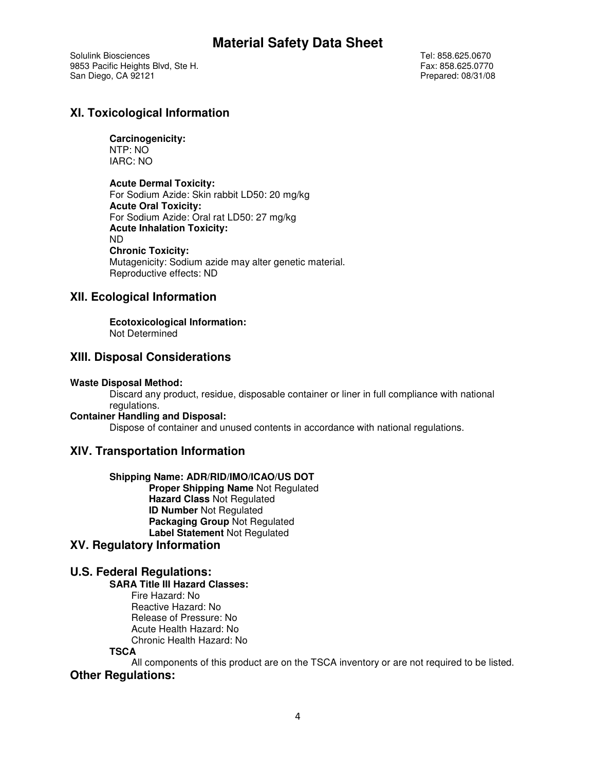Solulink Biosciences Tel: 858.625.0670 9853 Pacific Heights Blvd, Ste H. Samuel Communication of the Steven Steve Ext. 858.625.0770<br>
9853 Pacific Heights Blvd, Ste H. Samuel Communication of the Steve Ext. 858.625.0770 San Diego, CA 92121

# **XI. Toxicological Information**

## **Carcinogenicity:**

NTP: NO IARC: NO

#### **Acute Dermal Toxicity:**

For Sodium Azide: Skin rabbit LD50: 20 mg/kg **Acute Oral Toxicity:**  For Sodium Azide: Oral rat LD50: 27 mg/kg **Acute Inhalation Toxicity:**  ND **Chronic Toxicity:**  Mutagenicity: Sodium azide may alter genetic material. Reproductive effects: ND

# **XII. Ecological Information**

### **Ecotoxicological Information:**

Not Determined

# **XIII. Disposal Considerations**

#### **Waste Disposal Method:**

Discard any product, residue, disposable container or liner in full compliance with national regulations.

#### **Container Handling and Disposal:**

Dispose of container and unused contents in accordance with national regulations.

# **XIV. Transportation Information**

#### **Shipping Name: ADR/RID/IMO/ICAO/US DOT**

**Proper Shipping Name** Not Regulated **Hazard Class** Not Regulated **ID Number** Not Regulated **Packaging Group** Not Regulated **Label Statement** Not Regulated

### **XV. Regulatory Information**

# **U.S. Federal Regulations:**

#### **SARA Title III Hazard Classes:**

Fire Hazard: No Reactive Hazard: No Release of Pressure: No Acute Health Hazard: No Chronic Health Hazard: No

#### **TSCA**

All components of this product are on the TSCA inventory or are not required to be listed.

# **Other Regulations:**